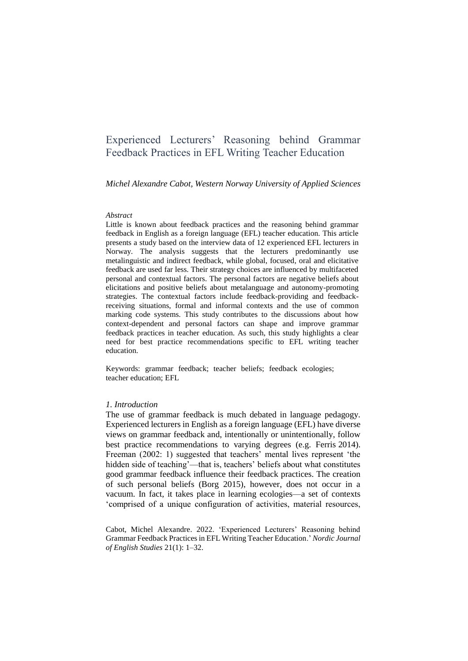# Experienced Lecturers' Reasoning behind Grammar Feedback Practices in EFL Writing Teacher Education

### *Michel Alexandre Cabot, Western Norway University of Applied Sciences*

#### *Abstract*

Little is known about feedback practices and the reasoning behind grammar feedback in English as a foreign language (EFL) teacher education. This article presents a study based on the interview data of 12 experienced EFL lecturers in Norway. The analysis suggests that the lecturers predominantly use metalinguistic and indirect feedback, while global, focused, oral and elicitative feedback are used far less. Their strategy choices are influenced by multifaceted personal and contextual factors. The personal factors are negative beliefs about elicitations and positive beliefs about metalanguage and autonomy-promoting strategies. The contextual factors include feedback-providing and feedbackreceiving situations, formal and informal contexts and the use of common marking code systems. This study contributes to the discussions about how context-dependent and personal factors can shape and improve grammar feedback practices in teacher education. As such, this study highlights a clear need for best practice recommendations specific to EFL writing teacher education.

Keywords: grammar feedback; teacher beliefs; feedback ecologies; teacher education; EFL

#### *1. Introduction*

The use of grammar feedback is much debated in language pedagogy. Experienced lecturers in English as a foreign language (EFL) have diverse views on grammar feedback and, intentionally or unintentionally, follow best practice recommendations to varying degrees (e.g. Ferris 2014). Freeman (2002: 1) suggested that teachers' mental lives represent 'the hidden side of teaching'—that is, teachers' beliefs about what constitutes good grammar feedback influence their feedback practices. The creation of such personal beliefs (Borg 2015), however, does not occur in a vacuum. In fact, it takes place in learning ecologies—a set of contexts 'comprised of a unique configuration of activities, material resources,

Cabot, Michel Alexandre. 2022. 'Experienced Lecturers' Reasoning behind Grammar Feedback Practices in EFL Writing Teacher Education.' *Nordic Journal of English Studies* 21(1): 1–32.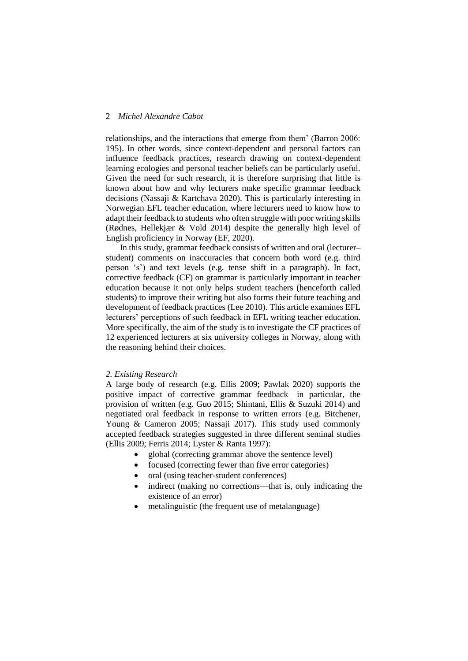relationships, and the interactions that emerge from them' (Barron 2006: 195). In other words, since context-dependent and personal factors can influence feedback practices, research drawing on context-dependent learning ecologies and personal teacher beliefs can be particularly useful. Given the need for such research, it is therefore surprising that little is known about how and why lecturers make specific grammar feedback decisions (Nassaji & Kartchava 2020). This is particularly interesting in Norwegian EFL teacher education, where lecturers need to know how to adapt their feedback to students who often struggle with poor writing skills (Rødnes, Hellekjær & Vold 2014) despite the generally high level of English proficiency in Norway (EF, 2020).

In this study, grammar feedback consists of written and oral (lecturer– student) comments on inaccuracies that concern both word (e.g. third person 's') and text levels (e.g. tense shift in a paragraph). In fact, corrective feedback (CF) on grammar is particularly important in teacher education because it not only helps student teachers (henceforth called students) to improve their writing but also forms their future teaching and development of feedback practices (Lee 2010). This article examines EFL lecturers' perceptions of such feedback in EFL writing teacher education. More specifically, the aim of the study is to investigate the CF practices of 12 experienced lecturers at six university colleges in Norway, along with the reasoning behind their choices.

## *2. Existing Research*

A large body of research (e.g. Ellis 2009; Pawlak 2020) supports the positive impact of corrective grammar feedback—in particular, the provision of written (e.g. Guo 2015; Shintani, Ellis & Suzuki 2014) and negotiated oral feedback in response to written errors (e.g. Bitchener, Young & Cameron 2005; Nassaji 2017). This study used commonly accepted feedback strategies suggested in three different seminal studies (Ellis 2009; Ferris 2014; Lyster & Ranta 1997):

- global (correcting grammar above the sentence level)
- focused (correcting fewer than five error categories)
- oral (using teacher-student conferences)
- indirect (making no corrections—that is, only indicating the existence of an error)
- metalinguistic (the frequent use of metalanguage)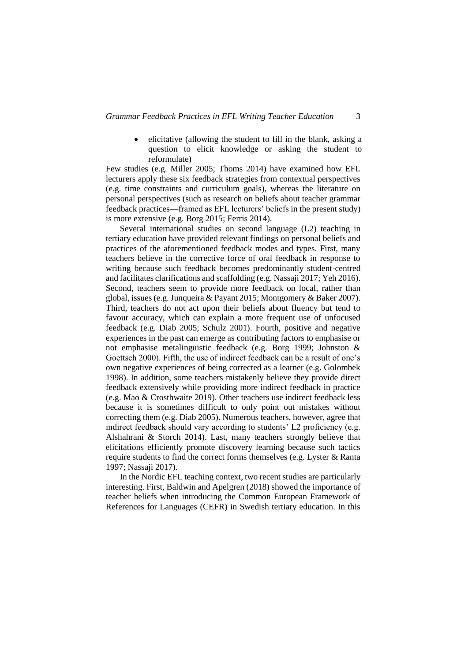elicitative (allowing the student to fill in the blank, asking a question to elicit knowledge or asking the student to reformulate)

Few studies (e.g. Miller 2005; Thoms 2014) have examined how EFL lecturers apply these six feedback strategies from contextual perspectives (e.g. time constraints and curriculum goals), whereas the literature on personal perspectives (such as research on beliefs about teacher grammar feedback practices—framed as EFL lecturers' beliefs in the present study) is more extensive (e.g. Borg 2015; Ferris 2014).

Several international studies on second language (L2) teaching in tertiary education have provided relevant findings on personal beliefs and practices of the aforementioned feedback modes and types. First, many teachers believe in the corrective force of oral feedback in response to writing because such feedback becomes predominantly student-centred and facilitates clarifications and scaffolding (e.g. Nassaji 2017; Yeh 2016). Second, teachers seem to provide more feedback on local, rather than global, issues (e.g. Junqueira & Payant 2015; Montgomery & Baker 2007). Third, teachers do not act upon their beliefs about fluency but tend to favour accuracy, which can explain a more frequent use of unfocused feedback (e.g. Diab 2005; Schulz 2001). Fourth, positive and negative experiences in the past can emerge as contributing factors to emphasise or not emphasise metalinguistic feedback (e.g. Borg 1999; Johnston & Goettsch 2000). Fifth, the use of indirect feedback can be a result of one's own negative experiences of being corrected as a learner (e.g. Golombek 1998). In addition, some teachers mistakenly believe they provide direct feedback extensively while providing more indirect feedback in practice (e.g. Mao & Crosthwaite 2019). Other teachers use indirect feedback less because it is sometimes difficult to only point out mistakes without correcting them (e.g. Diab 2005). Numerous teachers, however, agree that indirect feedback should vary according to students' L2 proficiency (e.g. Alshahrani & Storch 2014). Last, many teachers strongly believe that elicitations efficiently promote discovery learning because such tactics require students to find the correct forms themselves (e.g. Lyster & Ranta 1997; Nassaji 2017).

In the Nordic EFL teaching context, two recent studies are particularly interesting. First, Baldwin and Apelgren (2018) showed the importance of teacher beliefs when introducing the Common European Framework of References for Languages (CEFR) in Swedish tertiary education. In this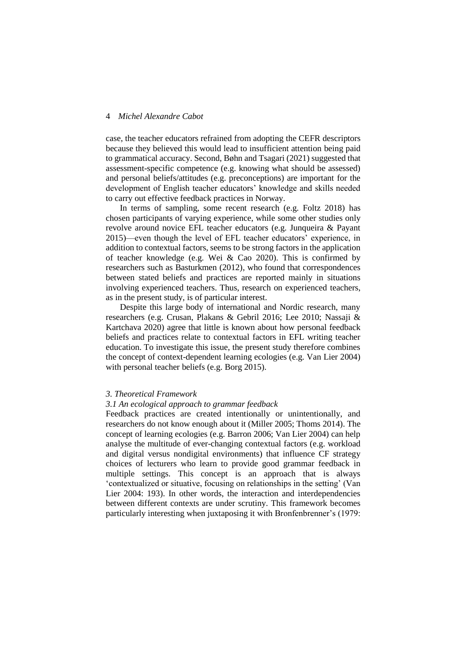case, the teacher educators refrained from adopting the CEFR descriptors because they believed this would lead to insufficient attention being paid to grammatical accuracy. Second, Bøhn and Tsagari (2021) suggested that assessment-specific competence (e.g. knowing what should be assessed) and personal beliefs/attitudes (e.g. preconceptions) are important for the development of English teacher educators' knowledge and skills needed to carry out effective feedback practices in Norway.

In terms of sampling, some recent research (e.g. Foltz 2018) has chosen participants of varying experience, while some other studies only revolve around novice EFL teacher educators (e.g. Junqueira & Payant 2015)—even though the level of EFL teacher educators' experience, in addition to contextual factors, seems to be strong factors in the application of teacher knowledge (e.g. Wei & Cao 2020). This is confirmed by researchers such as Basturkmen (2012), who found that correspondences between stated beliefs and practices are reported mainly in situations involving experienced teachers. Thus, research on experienced teachers, as in the present study, is of particular interest.

Despite this large body of international and Nordic research, many researchers (e.g. Crusan, Plakans & Gebril 2016; Lee 2010; Nassaji & Kartchava 2020) agree that little is known about how personal feedback beliefs and practices relate to contextual factors in EFL writing teacher education. To investigate this issue, the present study therefore combines the concept of context-dependent learning ecologies (e.g. Van Lier 2004) with personal teacher beliefs (e.g. Borg 2015).

### *3. Theoretical Framework*

### *3.1 An ecological approach to grammar feedback*

Feedback practices are created intentionally or unintentionally, and researchers do not know enough about it (Miller 2005; Thoms 2014). The concept of learning ecologies (e.g. Barron 2006; Van Lier 2004) can help analyse the multitude of ever-changing contextual factors (e.g. workload and digital versus nondigital environments) that influence CF strategy choices of lecturers who learn to provide good grammar feedback in multiple settings. This concept is an approach that is always 'contextualized or situative, focusing on relationships in the setting' (Van Lier 2004: 193). In other words, the interaction and interdependencies between different contexts are under scrutiny. This framework becomes particularly interesting when juxtaposing it with Bronfenbrenner's (1979: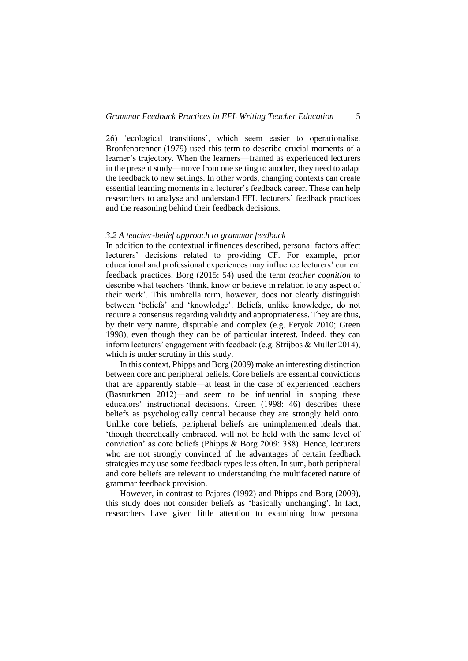26) 'ecological transitions', which seem easier to operationalise. Bronfenbrenner (1979) used this term to describe crucial moments of a learner's trajectory. When the learners—framed as experienced lecturers in the present study—move from one setting to another, they need to adapt the feedback to new settings. In other words, changing contexts can create essential learning moments in a lecturer's feedback career. These can help researchers to analyse and understand EFL lecturers' feedback practices and the reasoning behind their feedback decisions.

### *3.2 A teacher-belief approach to grammar feedback*

In addition to the contextual influences described, personal factors affect lecturers' decisions related to providing CF. For example, prior educational and professional experiences may influence lecturers' current feedback practices. Borg (2015: 54) used the term *teacher cognition* to describe what teachers 'think, know or believe in relation to any aspect of their work'. This umbrella term, however, does not clearly distinguish between 'beliefs' and 'knowledge'. Beliefs, unlike knowledge, do not require a consensus regarding validity and appropriateness. They are thus, by their very nature, disputable and complex (e.g. Feryok 2010; Green 1998), even though they can be of particular interest. Indeed, they can inform lecturers' engagement with feedback (e.g. Strijbos & Müller 2014), which is under scrutiny in this study.

In this context, Phipps and Borg (2009) make an interesting distinction between core and peripheral beliefs. Core beliefs are essential convictions that are apparently stable—at least in the case of experienced teachers (Basturkmen 2012)—and seem to be influential in shaping these educators' instructional decisions. Green (1998: 46) describes these beliefs as psychologically central because they are strongly held onto. Unlike core beliefs, peripheral beliefs are unimplemented ideals that, 'though theoretically embraced, will not be held with the same level of conviction' as core beliefs (Phipps & Borg 2009: 388). Hence, lecturers who are not strongly convinced of the advantages of certain feedback strategies may use some feedback types less often. In sum, both peripheral and core beliefs are relevant to understanding the multifaceted nature of grammar feedback provision.

However, in contrast to Pajares (1992) and Phipps and Borg (2009), this study does not consider beliefs as 'basically unchanging'. In fact, researchers have given little attention to examining how personal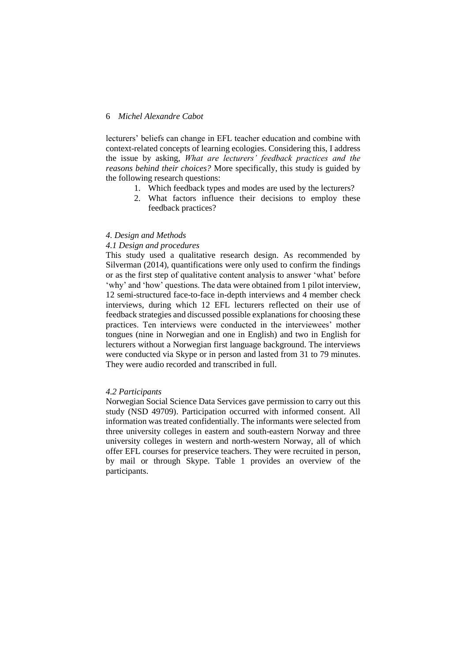lecturers' beliefs can change in EFL teacher education and combine with context-related concepts of learning ecologies. Considering this, I address the issue by asking, *What are lecturers' feedback practices and the reasons behind their choices?* More specifically, this study is guided by the following research questions:

- 1. Which feedback types and modes are used by the lecturers?
- 2. What factors influence their decisions to employ these feedback practices?

### *4. Design and Methods*

## *4.1 Design and procedures*

This study used a qualitative research design. As recommended by Silverman (2014), quantifications were only used to confirm the findings or as the first step of qualitative content analysis to answer 'what' before 'why' and 'how' questions. The data were obtained from 1 pilot interview, 12 semi-structured face-to-face in-depth interviews and 4 member check interviews, during which 12 EFL lecturers reflected on their use of feedback strategies and discussed possible explanations for choosing these practices. Ten interviews were conducted in the interviewees' mother tongues (nine in Norwegian and one in English) and two in English for lecturers without a Norwegian first language background. The interviews were conducted via Skype or in person and lasted from 31 to 79 minutes. They were audio recorded and transcribed in full.

### *4.2 Participants*

Norwegian Social Science Data Services gave permission to carry out this study (NSD 49709). Participation occurred with informed consent. All information was treated confidentially. The informants were selected from three university colleges in eastern and south-eastern Norway and three university colleges in western and north-western Norway, all of which offer EFL courses for preservice teachers. They were recruited in person, by mail or through Skype. Table 1 provides an overview of the participants.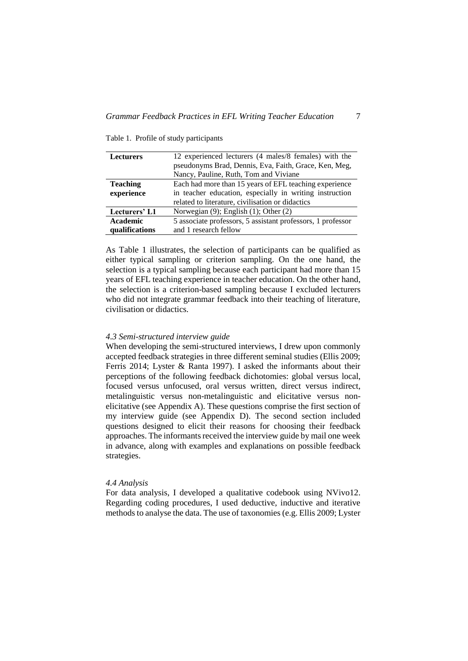Table 1. Profile of study participants

| <b>Lecturers</b> | 12 experienced lecturers (4 males/8 females) with the       |  |  |  |  |  |
|------------------|-------------------------------------------------------------|--|--|--|--|--|
|                  | pseudonyms Brad, Dennis, Eva, Faith, Grace, Ken, Meg,       |  |  |  |  |  |
|                  | Nancy, Pauline, Ruth, Tom and Viviane                       |  |  |  |  |  |
| <b>Teaching</b>  | Each had more than 15 years of EFL teaching experience      |  |  |  |  |  |
| experience       | in teacher education, especially in writing instruction     |  |  |  |  |  |
|                  | related to literature, civilisation or didactics            |  |  |  |  |  |
| Lecturers' L1    | Norwegian $(9)$ ; English $(1)$ ; Other $(2)$               |  |  |  |  |  |
| Academic         | 5 associate professors, 5 assistant professors, 1 professor |  |  |  |  |  |
| qualifications   | and 1 research fellow                                       |  |  |  |  |  |

As Table 1 illustrates, the selection of participants can be qualified as either typical sampling or criterion sampling. On the one hand, the selection is a typical sampling because each participant had more than 15 years of EFL teaching experience in teacher education. On the other hand, the selection is a criterion-based sampling because I excluded lecturers who did not integrate grammar feedback into their teaching of literature, civilisation or didactics.

#### *4.3 Semi-structured interview guide*

When developing the semi-structured interviews, I drew upon commonly accepted feedback strategies in three different seminal studies (Ellis 2009; Ferris 2014; Lyster & Ranta 1997). I asked the informants about their perceptions of the following feedback dichotomies: global versus local, focused versus unfocused, oral versus written, direct versus indirect, metalinguistic versus non-metalinguistic and elicitative versus nonelicitative (see Appendix A). These questions comprise the first section of my interview guide (see Appendix D). The second section included questions designed to elicit their reasons for choosing their feedback approaches. The informants received the interview guide by mail one week in advance, along with examples and explanations on possible feedback strategies.

#### *4.4 Analysis*

For data analysis, I developed a qualitative codebook using NVivo12. Regarding coding procedures, I used deductive, inductive and iterative methods to analyse the data. The use of taxonomies (e.g. Ellis 2009; Lyster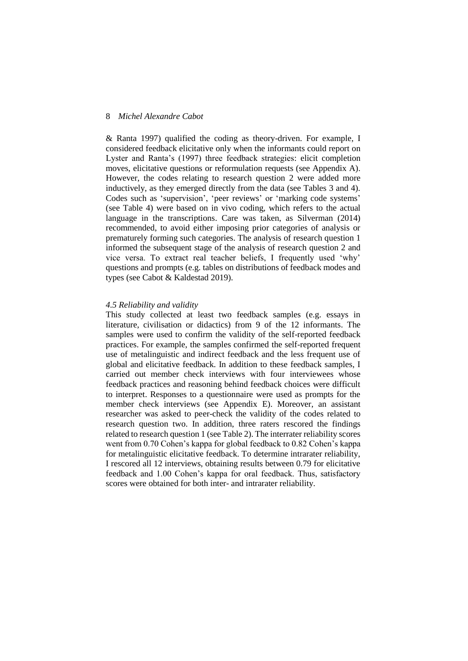& Ranta 1997) qualified the coding as theory-driven. For example, I considered feedback elicitative only when the informants could report on Lyster and Ranta's (1997) three feedback strategies: elicit completion moves, elicitative questions or reformulation requests (see Appendix A). However, the codes relating to research question 2 were added more inductively, as they emerged directly from the data (see Tables 3 and 4). Codes such as 'supervision', 'peer reviews' or 'marking code systems' (see Table 4) were based on in vivo coding, which refers to the actual language in the transcriptions. Care was taken, as Silverman (2014) recommended, to avoid either imposing prior categories of analysis or prematurely forming such categories. The analysis of research question 1 informed the subsequent stage of the analysis of research question 2 and vice versa. To extract real teacher beliefs, I frequently used 'why' questions and prompts (e.g. tables on distributions of feedback modes and types (see Cabot & Kaldestad 2019).

## *4.5 Reliability and validity*

This study collected at least two feedback samples (e.g. essays in literature, civilisation or didactics) from 9 of the 12 informants. The samples were used to confirm the validity of the self-reported feedback practices. For example, the samples confirmed the self-reported frequent use of metalinguistic and indirect feedback and the less frequent use of global and elicitative feedback. In addition to these feedback samples, I carried out member check interviews with four interviewees whose feedback practices and reasoning behind feedback choices were difficult to interpret. Responses to a questionnaire were used as prompts for the member check interviews (see Appendix E). Moreover, an assistant researcher was asked to peer-check the validity of the codes related to research question two. In addition, three raters rescored the findings related to research question 1 (see Table 2). The interrater reliability scores went from 0.70 Cohen's kappa for global feedback to 0.82 Cohen's kappa for metalinguistic elicitative feedback. To determine intrarater reliability, I rescored all 12 interviews, obtaining results between 0.79 for elicitative feedback and 1.00 Cohen's kappa for oral feedback. Thus, satisfactory scores were obtained for both inter- and intrarater reliability.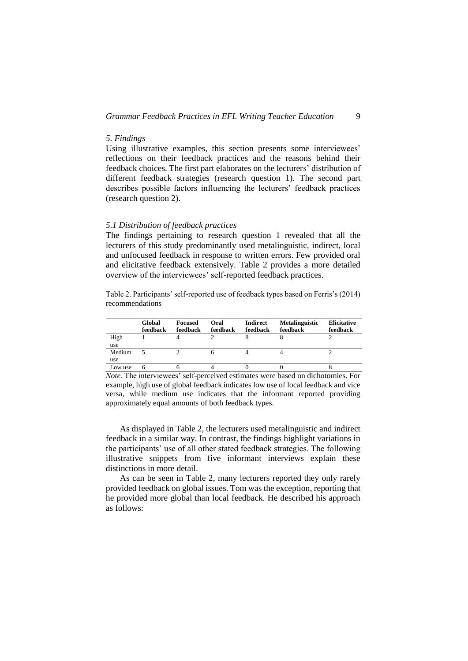#### *5. Findings*

Using illustrative examples, this section presents some interviewees' reflections on their feedback practices and the reasons behind their feedback choices. The first part elaborates on the lecturers' distribution of different feedback strategies (research question 1). The second part describes possible factors influencing the lecturers' feedback practices (research question 2).

### *5.1 Distribution of feedback practices*

The findings pertaining to research question 1 revealed that all the lecturers of this study predominantly used metalinguistic, indirect, local and unfocused feedback in response to written errors. Few provided oral and elicitative feedback extensively. Table 2 provides a more detailed overview of the interviewees' self-reported feedback practices.

Table 2. Participants' self-reported use of feedback types based on Ferris's (2014) recommendations

|         | Global<br>feedback | <b>Focused</b><br>feedback | Oral<br>feedback | Indirect<br>feedback | <b>Metalinguistic</b><br>feedback | <b>Elicitative</b><br>feedback |
|---------|--------------------|----------------------------|------------------|----------------------|-----------------------------------|--------------------------------|
| High    |                    |                            |                  |                      |                                   |                                |
| use     |                    |                            |                  |                      |                                   |                                |
| Medium  |                    |                            |                  |                      |                                   |                                |
| use     |                    |                            |                  |                      |                                   |                                |
| Low use |                    |                            |                  |                      |                                   |                                |

*Note.* The interviewees' self-perceived estimates were based on dichotomies. For example, high use of global feedback indicates low use of local feedback and vice versa, while medium use indicates that the informant reported providing approximately equal amounts of both feedback types.

As displayed in Table 2, the lecturers used metalinguistic and indirect feedback in a similar way. In contrast, the findings highlight variations in the participants' use of all other stated feedback strategies. The following illustrative snippets from five informant interviews explain these distinctions in more detail.

As can be seen in Table 2, many lecturers reported they only rarely provided feedback on global issues. Tom was the exception, reporting that he provided more global than local feedback. He described his approach as follows: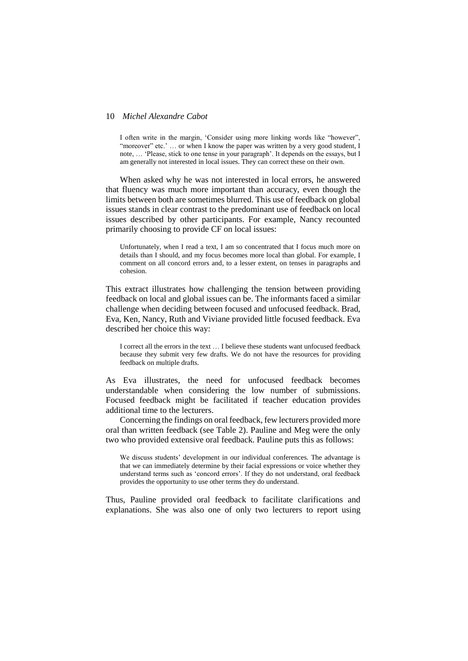I often write in the margin, 'Consider using more linking words like "however", "moreover" etc.' ... or when I know the paper was written by a very good student, I note, … 'Please, stick to one tense in your paragraph'. It depends on the essays, but I am generally not interested in local issues. They can correct these on their own.

When asked why he was not interested in local errors, he answered that fluency was much more important than accuracy, even though the limits between both are sometimes blurred. This use of feedback on global issues stands in clear contrast to the predominant use of feedback on local issues described by other participants. For example, Nancy recounted primarily choosing to provide CF on local issues:

Unfortunately, when I read a text, I am so concentrated that I focus much more on details than I should, and my focus becomes more local than global. For example, I comment on all concord errors and, to a lesser extent, on tenses in paragraphs and cohesion.

This extract illustrates how challenging the tension between providing feedback on local and global issues can be. The informants faced a similar challenge when deciding between focused and unfocused feedback. Brad, Eva, Ken, Nancy, Ruth and Viviane provided little focused feedback. Eva described her choice this way:

I correct all the errors in the text … I believe these students want unfocused feedback because they submit very few drafts. We do not have the resources for providing feedback on multiple drafts.

As Eva illustrates, the need for unfocused feedback becomes understandable when considering the low number of submissions. Focused feedback might be facilitated if teacher education provides additional time to the lecturers.

Concerning the findings on oral feedback, few lecturers provided more oral than written feedback (see Table 2). Pauline and Meg were the only two who provided extensive oral feedback. Pauline puts this as follows:

We discuss students' development in our individual conferences. The advantage is that we can immediately determine by their facial expressions or voice whether they understand terms such as 'concord errors'. If they do not understand, oral feedback provides the opportunity to use other terms they do understand.

Thus, Pauline provided oral feedback to facilitate clarifications and explanations. She was also one of only two lecturers to report using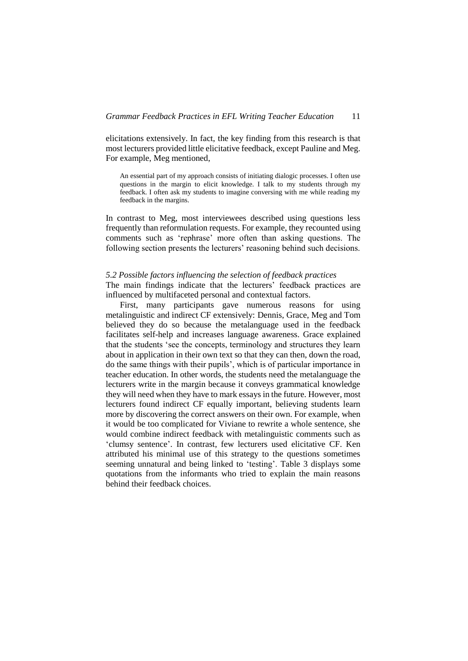elicitations extensively. In fact, the key finding from this research is that most lecturers provided little elicitative feedback, except Pauline and Meg. For example, Meg mentioned,

An essential part of my approach consists of initiating dialogic processes. I often use questions in the margin to elicit knowledge. I talk to my students through my feedback. I often ask my students to imagine conversing with me while reading my feedback in the margins.

In contrast to Meg, most interviewees described using questions less frequently than reformulation requests. For example, they recounted using comments such as 'rephrase' more often than asking questions. The following section presents the lecturers' reasoning behind such decisions.

### *5.2 Possible factors influencing the selection of feedback practices*

The main findings indicate that the lecturers' feedback practices are influenced by multifaceted personal and contextual factors.

First, many participants gave numerous reasons for using metalinguistic and indirect CF extensively: Dennis, Grace, Meg and Tom believed they do so because the metalanguage used in the feedback facilitates self-help and increases language awareness. Grace explained that the students 'see the concepts, terminology and structures they learn about in application in their own text so that they can then, down the road, do the same things with their pupils', which is of particular importance in teacher education. In other words, the students need the metalanguage the lecturers write in the margin because it conveys grammatical knowledge they will need when they have to mark essays in the future. However, most lecturers found indirect CF equally important, believing students learn more by discovering the correct answers on their own. For example, when it would be too complicated for Viviane to rewrite a whole sentence, she would combine indirect feedback with metalinguistic comments such as 'clumsy sentence'. In contrast, few lecturers used elicitative CF. Ken attributed his minimal use of this strategy to the questions sometimes seeming unnatural and being linked to 'testing'. Table 3 displays some quotations from the informants who tried to explain the main reasons behind their feedback choices.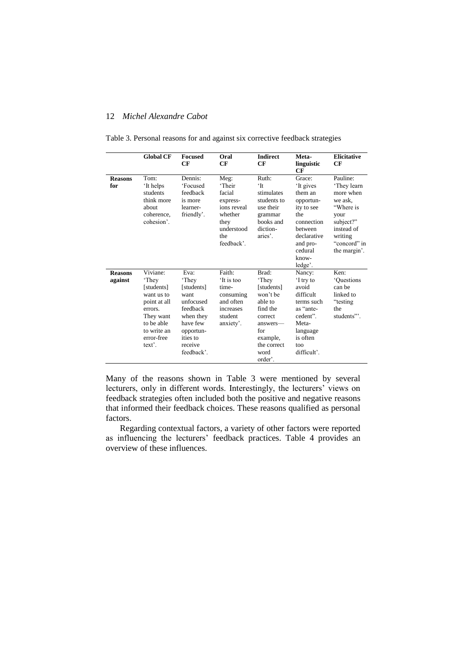|                           | <b>Global CF</b>                                                                                                                           | <b>Focused</b><br>CF                                                                                                                    | Oral<br>CF                                                                                                | <b>Indirect</b><br>CF                                                                                                                       | Meta-<br>linguistic<br>CF                                                                                                                           | <b>Elicitative</b><br>CF                                                                                                                   |
|---------------------------|--------------------------------------------------------------------------------------------------------------------------------------------|-----------------------------------------------------------------------------------------------------------------------------------------|-----------------------------------------------------------------------------------------------------------|---------------------------------------------------------------------------------------------------------------------------------------------|-----------------------------------------------------------------------------------------------------------------------------------------------------|--------------------------------------------------------------------------------------------------------------------------------------------|
| <b>Reasons</b><br>for     | Tom:<br>'It helps<br>students<br>think more<br>about<br>coherence,<br>cohesion'.                                                           | Dennis:<br>'Focused<br>feedback<br>is more<br>learner-<br>friendly'.                                                                    | Meg:<br>'Their<br>facial<br>express-<br>ions reveal<br>whether<br>they<br>understood<br>the<br>feedback'. | Ruth:<br>$\mathbf{H}$<br>stimulates<br>students to<br>use their<br>grammar<br>books and<br>diction-<br>aries'.                              | Grace:<br>'It gives<br>them an<br>opportun-<br>ity to see<br>the<br>connection<br>between<br>declarative<br>and pro-<br>cedural<br>know-<br>ledge'. | Pauline:<br>'They learn<br>more when<br>we ask.<br>"Where is<br>your<br>subject?"<br>instead of<br>writing<br>"concord" in<br>the margin'. |
| <b>Reasons</b><br>against | Viviane:<br>'They<br>[students]<br>want us to<br>point at all<br>errors.<br>They want<br>to be able<br>to write an<br>error-free<br>text'. | Eva:<br>'They<br>[students]<br>want<br>unfocused<br>feedback<br>when they<br>have few<br>opportun-<br>ities to<br>receive<br>feedback'. | Faith:<br>'It is too<br>time-<br>consuming<br>and often<br>increases<br>student<br>anxiety'.              | Brad:<br>'They<br>[students]<br>won't be<br>able to<br>find the<br>correct<br>answers-<br>for<br>example,<br>the correct<br>word<br>order'. | Nancy:<br>'I try to<br>avoid<br>difficult<br>terms such<br>as "ante-<br>cedent".<br>Meta-<br>language<br>is often<br>too<br>difficult'.             | Ken:<br><b>'Ouestions</b><br>can be<br>linked to<br>"testing<br>the<br>students".                                                          |

### Table 3. Personal reasons for and against six corrective feedback strategies

Many of the reasons shown in Table 3 were mentioned by several lecturers, only in different words. Interestingly, the lecturers' views on feedback strategies often included both the positive and negative reasons that informed their feedback choices. These reasons qualified as personal factors.

Regarding contextual factors, a variety of other factors were reported as influencing the lecturers' feedback practices. Table 4 provides an overview of these influences.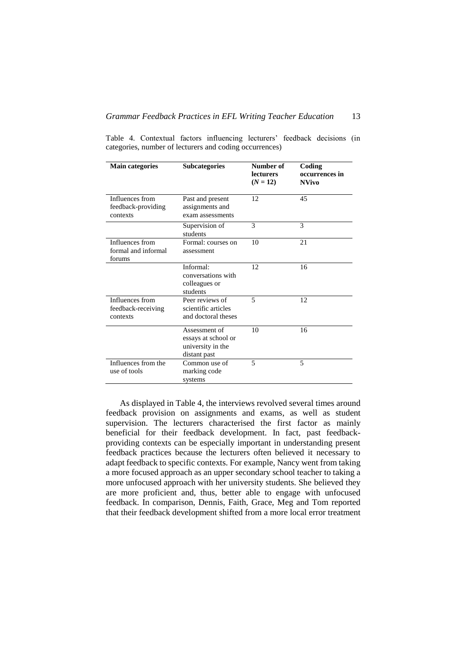| <b>Main categories</b>                            | <b>Subcategories</b>                                                      | Number of<br><b>lecturers</b><br>$(N = 12)$ | Coding<br>occurrences in<br><b>NVivo</b> |
|---------------------------------------------------|---------------------------------------------------------------------------|---------------------------------------------|------------------------------------------|
| Influences from<br>feedback-providing<br>contexts | Past and present<br>assignments and<br>exam assessments                   | 12                                          | 45                                       |
|                                                   | Supervision of<br>students                                                | 3                                           | 3                                        |
| Influences from<br>formal and informal<br>forums  | Formal: courses on<br>assessment                                          | 10                                          | 21                                       |
|                                                   | Informal:<br>conversations with<br>colleagues or<br>students              | 12                                          | 16                                       |
| Influences from<br>feedback-receiving<br>contexts | Peer reviews of<br>scientific articles<br>and doctoral theses             | $\overline{5}$                              | 12.                                      |
|                                                   | Assessment of<br>essays at school or<br>university in the<br>distant past | 10                                          | 16                                       |
| Influences from the<br>use of tools               | Common use of<br>marking code<br>systems                                  | $\overline{5}$                              | 5                                        |

Table 4. Contextual factors influencing lecturers' feedback decisions (in categories, number of lecturers and coding occurrences)

As displayed in Table 4, the interviews revolved several times around feedback provision on assignments and exams, as well as student supervision. The lecturers characterised the first factor as mainly beneficial for their feedback development. In fact, past feedbackproviding contexts can be especially important in understanding present feedback practices because the lecturers often believed it necessary to adapt feedback to specific contexts. For example, Nancy went from taking a more focused approach as an upper secondary school teacher to taking a more unfocused approach with her university students. She believed they are more proficient and, thus, better able to engage with unfocused feedback. In comparison, Dennis, Faith, Grace, Meg and Tom reported that their feedback development shifted from a more local error treatment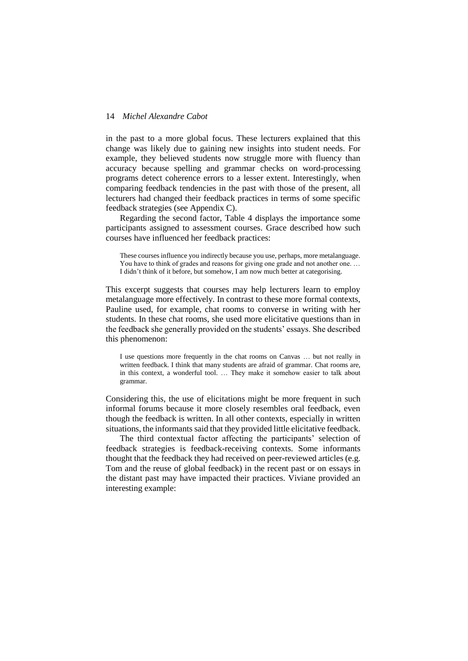in the past to a more global focus. These lecturers explained that this change was likely due to gaining new insights into student needs. For example, they believed students now struggle more with fluency than accuracy because spelling and grammar checks on word-processing programs detect coherence errors to a lesser extent. Interestingly, when comparing feedback tendencies in the past with those of the present, all lecturers had changed their feedback practices in terms of some specific feedback strategies (see Appendix C).

Regarding the second factor, Table 4 displays the importance some participants assigned to assessment courses. Grace described how such courses have influenced her feedback practices:

These courses influence you indirectly because you use, perhaps, more metalanguage. You have to think of grades and reasons for giving one grade and not another one. … I didn't think of it before, but somehow, I am now much better at categorising.

This excerpt suggests that courses may help lecturers learn to employ metalanguage more effectively. In contrast to these more formal contexts, Pauline used, for example, chat rooms to converse in writing with her students. In these chat rooms, she used more elicitative questions than in the feedback she generally provided on the students' essays. She described this phenomenon:

I use questions more frequently in the chat rooms on Canvas … but not really in written feedback. I think that many students are afraid of grammar. Chat rooms are, in this context, a wonderful tool. … They make it somehow easier to talk about grammar.

Considering this, the use of elicitations might be more frequent in such informal forums because it more closely resembles oral feedback, even though the feedback is written. In all other contexts, especially in written situations, the informants said that they provided little elicitative feedback.

The third contextual factor affecting the participants' selection of feedback strategies is feedback-receiving contexts. Some informants thought that the feedback they had received on peer-reviewed articles (e.g. Tom and the reuse of global feedback) in the recent past or on essays in the distant past may have impacted their practices. Viviane provided an interesting example: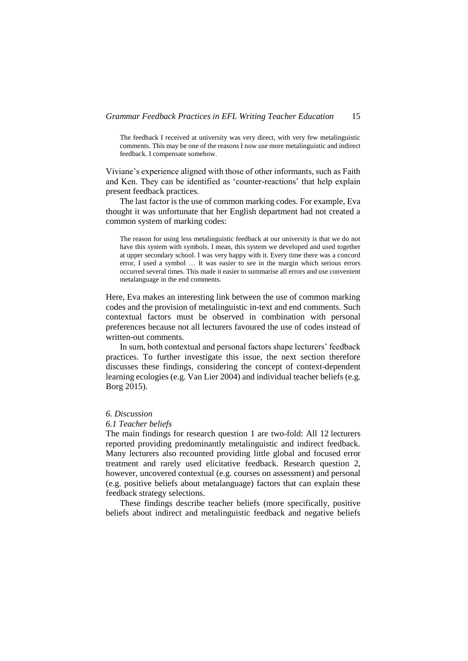The feedback I received at university was very direct, with very few metalinguistic comments. This may be one of the reasons I now use more metalinguistic and indirect feedback. I compensate somehow.

Viviane's experience aligned with those of other informants, such as Faith and Ken. They can be identified as 'counter-reactions' that help explain present feedback practices.

The last factor is the use of common marking codes. For example, Eva thought it was unfortunate that her English department had not created a common system of marking codes:

The reason for using less metalinguistic feedback at our university is that we do not have this system with symbols. I mean, this system we developed and used together at upper secondary school. I was very happy with it. Every time there was a concord error, I used a symbol … It was easier to see in the margin which serious errors occurred several times. This made it easier to summarise all errors and use convenient metalanguage in the end comments.

Here, Eva makes an interesting link between the use of common marking codes and the provision of metalinguistic in-text and end comments. Such contextual factors must be observed in combination with personal preferences because not all lecturers favoured the use of codes instead of written-out comments.

In sum, both contextual and personal factors shape lecturers' feedback practices. To further investigate this issue, the next section therefore discusses these findings, considering the concept of context-dependent learning ecologies (e.g. Van Lier 2004) and individual teacher beliefs (e.g. Borg 2015).

### *6. Discussion*

### *6.1 Teacher beliefs*

The main findings for research question 1 are two-fold: All 12 lecturers reported providing predominantly metalinguistic and indirect feedback. Many lecturers also recounted providing little global and focused error treatment and rarely used elicitative feedback. Research question 2, however, uncovered contextual (e.g. courses on assessment) and personal (e.g. positive beliefs about metalanguage) factors that can explain these feedback strategy selections.

These findings describe teacher beliefs (more specifically, positive beliefs about indirect and metalinguistic feedback and negative beliefs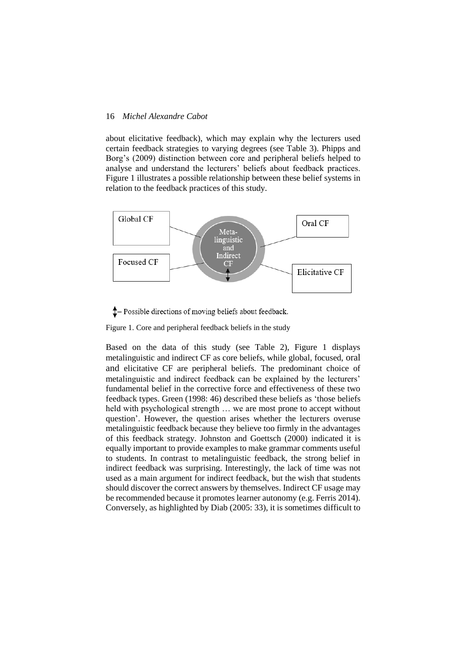about elicitative feedback), which may explain why the lecturers used certain feedback strategies to varying degrees (see Table 3). Phipps and Borg's (2009) distinction between core and peripheral beliefs helped to analyse and understand the lecturers' beliefs about feedback practices. Figure 1 illustrates a possible relationship between these belief systems in relation to the feedback practices of this study.



 $\uparrow$  = Possible directions of moving beliefs about feedback.

Figure 1. Core and peripheral feedback beliefs in the study

Based on the data of this study (see Table 2), Figure 1 displays metalinguistic and indirect CF as core beliefs, while global, focused, oral and elicitative CF are peripheral beliefs. The predominant choice of metalinguistic and indirect feedback can be explained by the lecturers' fundamental belief in the corrective force and effectiveness of these two feedback types. Green (1998: 46) described these beliefs as 'those beliefs held with psychological strength … we are most prone to accept without question'. However, the question arises whether the lecturers overuse metalinguistic feedback because they believe too firmly in the advantages of this feedback strategy. Johnston and Goettsch (2000) indicated it is equally important to provide examples to make grammar comments useful to students. In contrast to metalinguistic feedback, the strong belief in indirect feedback was surprising. Interestingly, the lack of time was not used as a main argument for indirect feedback, but the wish that students should discover the correct answers by themselves. Indirect CF usage may be recommended because it promotes learner autonomy (e.g. Ferris 2014). Conversely, as highlighted by Diab (2005: 33), it is sometimes difficult to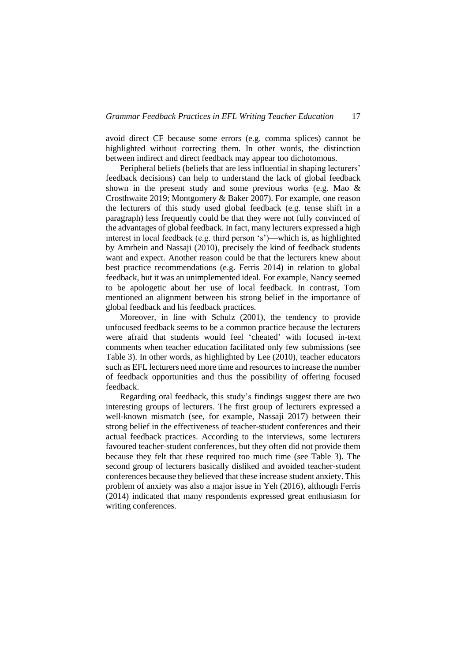avoid direct CF because some errors (e.g. comma splices) cannot be highlighted without correcting them. In other words, the distinction between indirect and direct feedback may appear too dichotomous.

Peripheral beliefs (beliefs that are less influential in shaping lecturers' feedback decisions) can help to understand the lack of global feedback shown in the present study and some previous works (e.g. Mao & Crosthwaite 2019; Montgomery & Baker 2007). For example, one reason the lecturers of this study used global feedback (e.g. tense shift in a paragraph) less frequently could be that they were not fully convinced of the advantages of global feedback. In fact, many lecturers expressed a high interest in local feedback (e.g. third person 's')—which is, as highlighted by Amrhein and Nassaji (2010), precisely the kind of feedback students want and expect. Another reason could be that the lecturers knew about best practice recommendations (e.g. Ferris 2014) in relation to global feedback, but it was an unimplemented ideal. For example, Nancy seemed to be apologetic about her use of local feedback. In contrast, Tom mentioned an alignment between his strong belief in the importance of global feedback and his feedback practices.

Moreover, in line with Schulz (2001), the tendency to provide unfocused feedback seems to be a common practice because the lecturers were afraid that students would feel 'cheated' with focused in-text comments when teacher education facilitated only few submissions (see Table 3). In other words, as highlighted by Lee (2010), teacher educators such as EFL lecturers need more time and resources to increase the number of feedback opportunities and thus the possibility of offering focused feedback.

Regarding oral feedback, this study's findings suggest there are two interesting groups of lecturers. The first group of lecturers expressed a well-known mismatch (see, for example, Nassaji 2017) between their strong belief in the effectiveness of teacher-student conferences and their actual feedback practices. According to the interviews, some lecturers favoured teacher-student conferences, but they often did not provide them because they felt that these required too much time (see Table 3). The second group of lecturers basically disliked and avoided teacher-student conferences because they believed that these increase student anxiety. This problem of anxiety was also a major issue in Yeh (2016), although Ferris (2014) indicated that many respondents expressed great enthusiasm for writing conferences.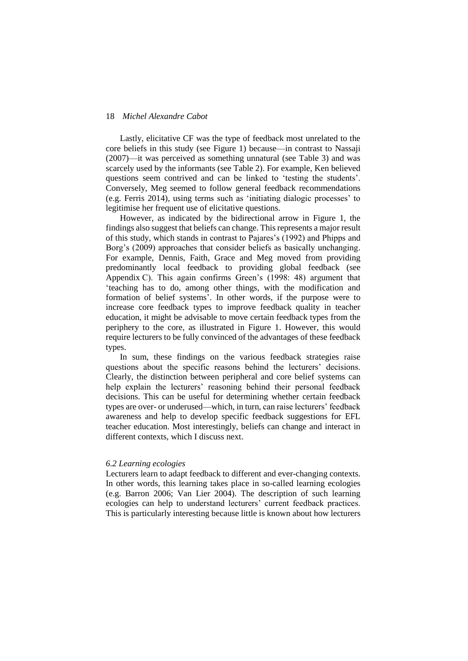Lastly, elicitative CF was the type of feedback most unrelated to the core beliefs in this study (see Figure 1) because—in contrast to Nassaji (2007)—it was perceived as something unnatural (see Table 3) and was scarcely used by the informants (see Table 2). For example, Ken believed questions seem contrived and can be linked to 'testing the students'. Conversely, Meg seemed to follow general feedback recommendations (e.g. Ferris 2014), using terms such as 'initiating dialogic processes' to legitimise her frequent use of elicitative questions.

However, as indicated by the bidirectional arrow in Figure 1, the findings also suggest that beliefs can change. This represents a major result of this study, which stands in contrast to Pajares's (1992) and Phipps and Borg's (2009) approaches that consider beliefs as basically unchanging. For example, Dennis, Faith, Grace and Meg moved from providing predominantly local feedback to providing global feedback (see Appendix C). This again confirms Green's (1998: 48) argument that 'teaching has to do, among other things, with the modification and formation of belief systems'. In other words, if the purpose were to increase core feedback types to improve feedback quality in teacher education, it might be advisable to move certain feedback types from the periphery to the core, as illustrated in Figure 1. However, this would require lecturers to be fully convinced of the advantages of these feedback types.

In sum, these findings on the various feedback strategies raise questions about the specific reasons behind the lecturers' decisions. Clearly, the distinction between peripheral and core belief systems can help explain the lecturers' reasoning behind their personal feedback decisions. This can be useful for determining whether certain feedback types are over- or underused—which, in turn, can raise lecturers' feedback awareness and help to develop specific feedback suggestions for EFL teacher education. Most interestingly, beliefs can change and interact in different contexts, which I discuss next.

### *6.2 Learning ecologies*

Lecturers learn to adapt feedback to different and ever-changing contexts. In other words, this learning takes place in so-called learning ecologies (e.g. Barron 2006; Van Lier 2004). The description of such learning ecologies can help to understand lecturers' current feedback practices. This is particularly interesting because little is known about how lecturers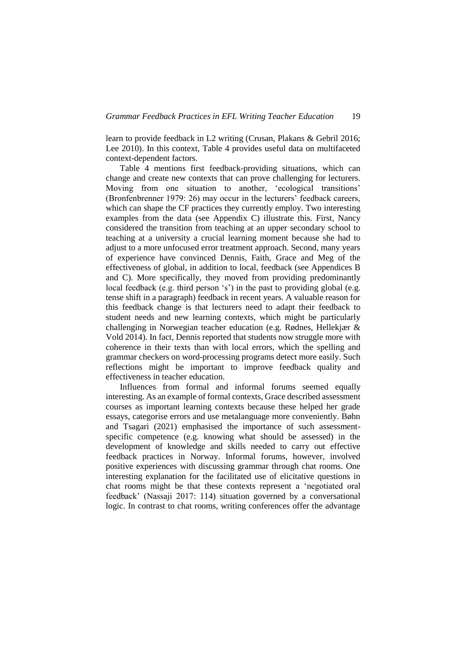learn to provide feedback in L2 writing (Crusan, Plakans & Gebril 2016; Lee 2010). In this context, Table 4 provides useful data on multifaceted context-dependent factors.

Table 4 mentions first feedback-providing situations, which can change and create new contexts that can prove challenging for lecturers. Moving from one situation to another, 'ecological transitions' (Bronfenbrenner 1979: 26) may occur in the lecturers' feedback careers, which can shape the CF practices they currently employ. Two interesting examples from the data (see Appendix C) illustrate this. First, Nancy considered the transition from teaching at an upper secondary school to teaching at a university a crucial learning moment because she had to adjust to a more unfocused error treatment approach. Second, many years of experience have convinced Dennis, Faith, Grace and Meg of the effectiveness of global, in addition to local, feedback (see Appendices B and C). More specifically, they moved from providing predominantly local feedback (e.g. third person 's') in the past to providing global (e.g. tense shift in a paragraph) feedback in recent years. A valuable reason for this feedback change is that lecturers need to adapt their feedback to student needs and new learning contexts, which might be particularly challenging in Norwegian teacher education (e.g. Rødnes, Hellekjær & Vold 2014). In fact, Dennis reported that students now struggle more with coherence in their texts than with local errors, which the spelling and grammar checkers on word-processing programs detect more easily. Such reflections might be important to improve feedback quality and effectiveness in teacher education.

Influences from formal and informal forums seemed equally interesting. As an example of formal contexts, Grace described assessment courses as important learning contexts because these helped her grade essays, categorise errors and use metalanguage more conveniently. Bøhn and Tsagari (2021) emphasised the importance of such assessmentspecific competence (e.g. knowing what should be assessed) in the development of knowledge and skills needed to carry out effective feedback practices in Norway. Informal forums, however, involved positive experiences with discussing grammar through chat rooms. One interesting explanation for the facilitated use of elicitative questions in chat rooms might be that these contexts represent a 'negotiated oral feedback' (Nassaji 2017: 114) situation governed by a conversational logic. In contrast to chat rooms, writing conferences offer the advantage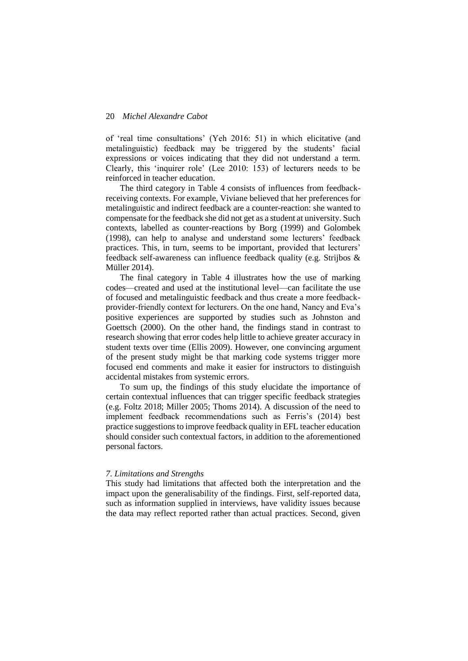of 'real time consultations' (Yeh 2016: 51) in which elicitative (and metalinguistic) feedback may be triggered by the students' facial expressions or voices indicating that they did not understand a term. Clearly, this 'inquirer role' (Lee 2010: 153) of lecturers needs to be reinforced in teacher education.

The third category in Table 4 consists of influences from feedbackreceiving contexts. For example, Viviane believed that her preferences for metalinguistic and indirect feedback are a counter-reaction: she wanted to compensate for the feedback she did not get as a student at university. Such contexts, labelled as counter-reactions by Borg (1999) and Golombek (1998), can help to analyse and understand some lecturers' feedback practices. This, in turn, seems to be important, provided that lecturers' feedback self-awareness can influence feedback quality (e.g. Strijbos & Müller 2014).

The final category in Table 4 illustrates how the use of marking codes—created and used at the institutional level—can facilitate the use of focused and metalinguistic feedback and thus create a more feedbackprovider-friendly context for lecturers. On the one hand, Nancy and Eva's positive experiences are supported by studies such as Johnston and Goettsch (2000). On the other hand, the findings stand in contrast to research showing that error codes help little to achieve greater accuracy in student texts over time (Ellis 2009). However, one convincing argument of the present study might be that marking code systems trigger more focused end comments and make it easier for instructors to distinguish accidental mistakes from systemic errors.

To sum up, the findings of this study elucidate the importance of certain contextual influences that can trigger specific feedback strategies (e.g. Foltz 2018; Miller 2005; Thoms 2014). A discussion of the need to implement feedback recommendations such as Ferris's (2014) best practice suggestions to improve feedback quality in EFL teacher education should consider such contextual factors, in addition to the aforementioned personal factors.

### *7. Limitations and Strengths*

This study had limitations that affected both the interpretation and the impact upon the generalisability of the findings. First, self-reported data, such as information supplied in interviews, have validity issues because the data may reflect reported rather than actual practices. Second, given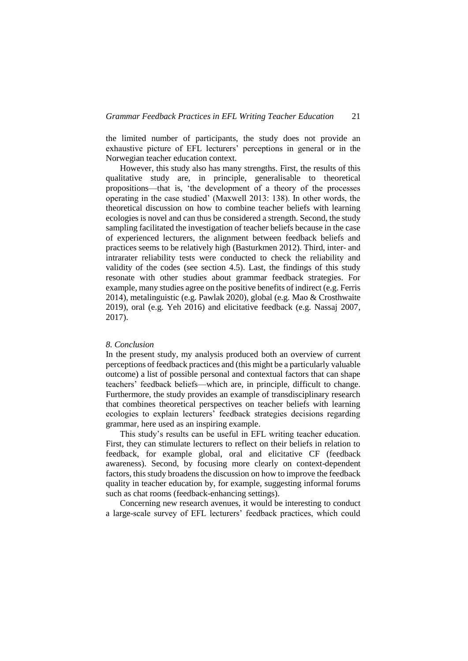the limited number of participants, the study does not provide an exhaustive picture of EFL lecturers' perceptions in general or in the Norwegian teacher education context.

However, this study also has many strengths. First, the results of this qualitative study are, in principle, generalisable to theoretical propositions—that is, 'the development of a theory of the processes operating in the case studied' (Maxwell 2013: 138). In other words, the theoretical discussion on how to combine teacher beliefs with learning ecologies is novel and can thus be considered a strength. Second, the study sampling facilitated the investigation of teacher beliefs because in the case of experienced lecturers, the alignment between feedback beliefs and practices seems to be relatively high (Basturkmen 2012). Third, inter- and intrarater reliability tests were conducted to check the reliability and validity of the codes (see section 4.5). Last, the findings of this study resonate with other studies about grammar feedback strategies. For example, many studies agree on the positive benefits of indirect (e.g. Ferris 2014), metalinguistic (e.g. Pawlak 2020), global (e.g. Mao & Crosthwaite 2019), oral (e.g. Yeh 2016) and elicitative feedback (e.g. Nassaj 2007, 2017).

### *8. Conclusion*

In the present study, my analysis produced both an overview of current perceptions of feedback practices and (this might be a particularly valuable outcome) a list of possible personal and contextual factors that can shape teachers' feedback beliefs—which are, in principle, difficult to change. Furthermore, the study provides an example of transdisciplinary research that combines theoretical perspectives on teacher beliefs with learning ecologies to explain lecturers' feedback strategies decisions regarding grammar, here used as an inspiring example.

This study's results can be useful in EFL writing teacher education. First, they can stimulate lecturers to reflect on their beliefs in relation to feedback, for example global, oral and elicitative CF (feedback awareness). Second, by focusing more clearly on context-dependent factors, this study broadens the discussion on how to improve the feedback quality in teacher education by, for example, suggesting informal forums such as chat rooms (feedback-enhancing settings).

Concerning new research avenues, it would be interesting to conduct a large-scale survey of EFL lecturers' feedback practices, which could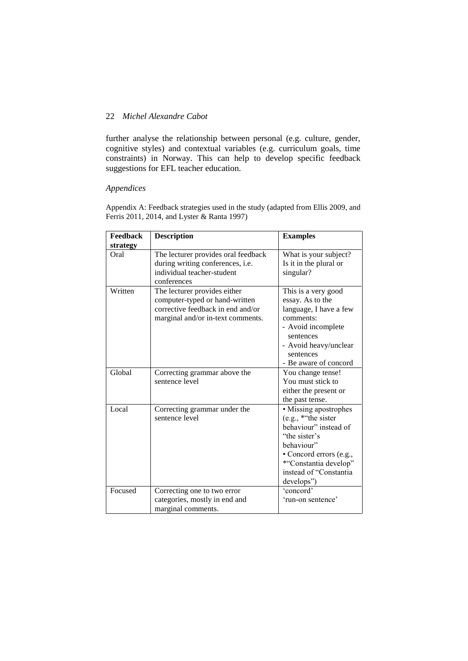further analyse the relationship between personal (e.g. culture, gender, cognitive styles) and contextual variables (e.g. curriculum goals, time constraints) in Norway. This can help to develop specific feedback suggestions for EFL teacher education.

## *Appendices*

Appendix A: Feedback strategies used in the study (adapted from Ellis 2009, and Ferris 2011, 2014, and Lyster & Ranta 1997)

| <b>Feedback</b> | <b>Description</b>                                                                                                                       | <b>Examples</b>                                                                                                                                                                                  |
|-----------------|------------------------------------------------------------------------------------------------------------------------------------------|--------------------------------------------------------------------------------------------------------------------------------------------------------------------------------------------------|
| strategy        |                                                                                                                                          |                                                                                                                                                                                                  |
| Oral            | The lecturer provides oral feedback<br>during writing conferences, i.e.<br>individual teacher-student<br>conferences                     | What is your subject?<br>Is it in the plural or<br>singular?                                                                                                                                     |
| Written         | The lecturer provides either<br>computer-typed or hand-written<br>corrective feedback in end and/or<br>marginal and/or in-text comments. | This is a very good<br>essay. As to the<br>language, I have a few<br>comments:<br>- Avoid incomplete<br>sentences<br>- Avoid heavy/unclear<br>sentences<br>- Be aware of concord                 |
| Global          | Correcting grammar above the<br>sentence level                                                                                           | You change tense!<br>You must stick to<br>either the present or<br>the past tense.                                                                                                               |
| Local           | Correcting grammar under the<br>sentence level                                                                                           | · Missing apostrophes<br>(e.g., *"the sister<br>behaviour" instead of<br>"the sister's<br>behaviour"<br>• Concord errors (e.g.,<br>*"Constantia develop"<br>instead of "Constantia<br>develops") |
| Focused         | Correcting one to two error<br>categories, mostly in end and<br>marginal comments.                                                       | 'concord'<br>'run-on sentence'                                                                                                                                                                   |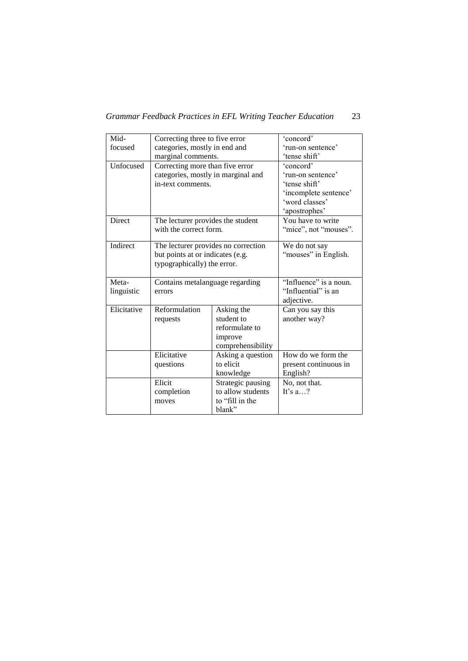*Grammar Feedback Practices in EFL Writing Teacher Education* 23

| Mid-        | Correcting three to five error    | 'concord'                           |                                    |
|-------------|-----------------------------------|-------------------------------------|------------------------------------|
| focused     | categories, mostly in end and     |                                     | 'run-on sentence'                  |
|             | marginal comments.                | 'tense shift'                       |                                    |
| Unfocused   | Correcting more than five error   |                                     | 'concord'                          |
|             |                                   | categories, mostly in marginal and  | 'run-on sentence'                  |
|             | in-text comments.                 |                                     | 'tense shift'                      |
|             |                                   |                                     | 'incomplete sentence'              |
|             |                                   |                                     | 'word classes'                     |
|             |                                   |                                     | 'apostrophes'                      |
| Direct      | The lecturer provides the student |                                     | You have to write                  |
|             | with the correct form.            |                                     | "mice", not "mouses".              |
|             |                                   |                                     |                                    |
| Indirect    |                                   | The lecturer provides no correction | We do not say                      |
|             | but points at or indicates (e.g.  |                                     | "mouses" in English.               |
|             | typographically) the error.       |                                     |                                    |
|             |                                   |                                     |                                    |
| Meta-       | Contains metalanguage regarding   |                                     | "Influence" is a noun.             |
| linguistic  | errors                            |                                     | "Influential" is an                |
|             |                                   |                                     | adjective.                         |
| Elicitative | Reformulation                     | Asking the                          | Can you say this                   |
|             | requests                          | student to                          | another way?                       |
|             |                                   | reformulate to                      |                                    |
|             |                                   | improve                             |                                    |
|             |                                   | comprehensibility                   |                                    |
|             | Elicitative<br>Asking a question  |                                     | How do we form the                 |
|             | to elicit<br>questions            |                                     | present continuous in              |
|             |                                   | knowledge                           | English?                           |
|             | Elicit                            | Strategic pausing                   | $\overline{\text{No}}$ , not that. |
|             | completion                        | to allow students                   | It's $a?$                          |
|             | moves                             | to "fill in the                     |                                    |
|             |                                   | blank"                              |                                    |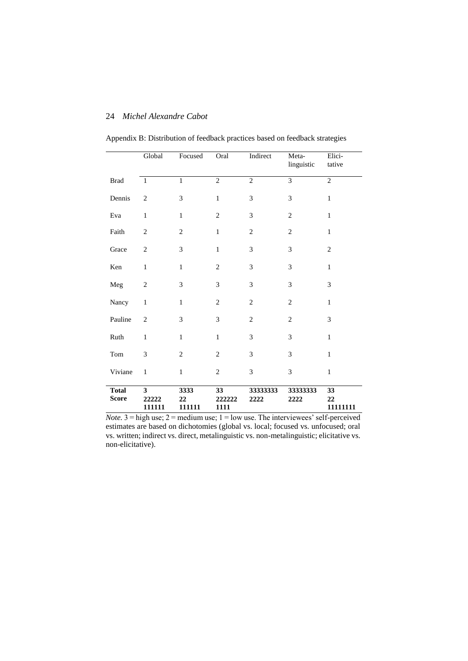| Appendix B: Distribution of feedback practices based on feedback strategies |  |  |  |
|-----------------------------------------------------------------------------|--|--|--|
|                                                                             |  |  |  |

|                              | Global               | Focused              | Oral                 | Indirect         | Meta-<br>linguistic | Elici-<br>tative     |
|------------------------------|----------------------|----------------------|----------------------|------------------|---------------------|----------------------|
| <b>Brad</b>                  | $\mathbf{1}$         | $\mathbf{1}$         | $\overline{2}$       | $\overline{2}$   | 3                   | $\overline{c}$       |
| Dennis                       | 2                    | 3                    | $\,1$                | 3                | 3                   | $\mathbf{1}$         |
| Eva                          | $\mathbf{1}$         | $\mathbf{1}$         | $\overline{c}$       | 3                | $\mathbf{2}$        | $\mathbf{1}$         |
| Faith                        | $\mathfrak{2}$       | $\mathfrak{2}$       | $\mathbf{1}$         | $\mathfrak{2}$   | $\overline{2}$      | $\mathbf{1}$         |
| Grace                        | $\overline{2}$       | 3                    | $\mathbf{1}$         | 3                | 3                   | $\overline{2}$       |
| Ken                          | $\,1$                | $\mathbf 1$          | $\mathfrak{2}$       | 3                | 3                   | $\mathbf{1}$         |
| Meg                          | $\mathbf{2}$         | 3                    | 3                    | 3                | 3                   | 3                    |
| Nancy                        | $\,1$                | $\mathbf 1$          | $\overline{2}$       | $\overline{2}$   | $\overline{2}$      | $\mathbf{1}$         |
| Pauline                      | $\overline{2}$       | 3                    | 3                    | $\mathfrak{2}$   | $\overline{2}$      | 3                    |
| Ruth                         | $\mathbf{1}$         | $\mathbf{1}$         | $\mathbf{1}$         | 3                | 3                   | $\mathbf{1}$         |
| Tom                          | 3                    | $\mathbf{2}$         | $\mathbf{2}$         | 3                | 3                   | $\mathbf{1}$         |
| Viviane                      | $\mathbf{1}$         | $\mathbf{1}$         | $\mathbf{2}$         | 3                | 3                   | $\mathbf{1}$         |
| <b>Total</b><br><b>Score</b> | 3<br>22222<br>111111 | 3333<br>22<br>111111 | 33<br>222222<br>1111 | 33333333<br>2222 | 333333333<br>2222   | 33<br>22<br>11111111 |

*Note.*  $3 =$  high use;  $2 =$  medium use;  $1 =$  low use. The interviewees' self-perceived estimates are based on dichotomies (global vs. local; focused vs. unfocused; oral vs. written; indirect vs. direct, metalinguistic vs. non-metalinguistic; elicitative vs. non-elicitative).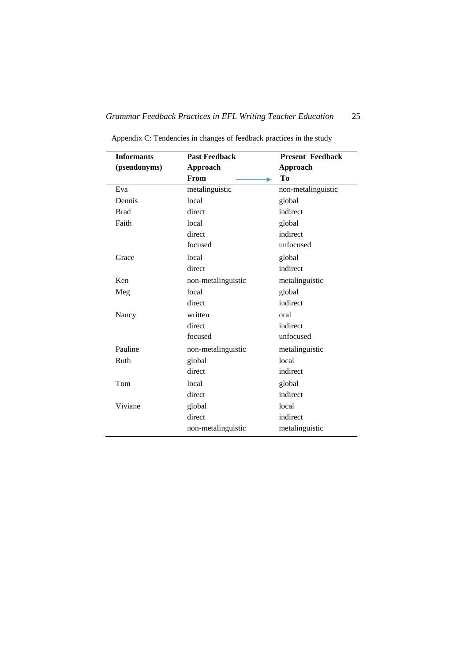| <b>Informants</b> | <b>Past Feedback</b> |                    |
|-------------------|----------------------|--------------------|
| (pseudonyms)      | Approach             | <b>Approach</b>    |
|                   | From                 | To                 |
| Eva               | metalinguistic       | non-metalinguistic |
| Dennis            | local                | global             |
| <b>Brad</b>       | direct               | indirect           |
| Faith             | local                | global             |
|                   | direct               | indirect           |
|                   | focused              | unfocused          |
| Grace             | local                | global             |
|                   | direct               | indirect           |
| Ken               | non-metalinguistic   | metalinguistic     |
| Meg               | local                | global             |
|                   | direct               | indirect           |
| Nancy             | written              | oral               |
|                   | direct               | indirect           |
|                   | focused              | unfocused          |
| Pauline           | non-metalinguistic   | metalinguistic     |
| Ruth              | global               | local              |
|                   | direct               | indirect           |
| Tom               | local                | global             |
|                   | direct               | indirect           |
| Viviane           | global               | local              |
|                   | direct               | indirect           |
|                   | non-metalinguistic   | metalinguistic     |

Appendix C: Tendencies in changes of feedback practices in the study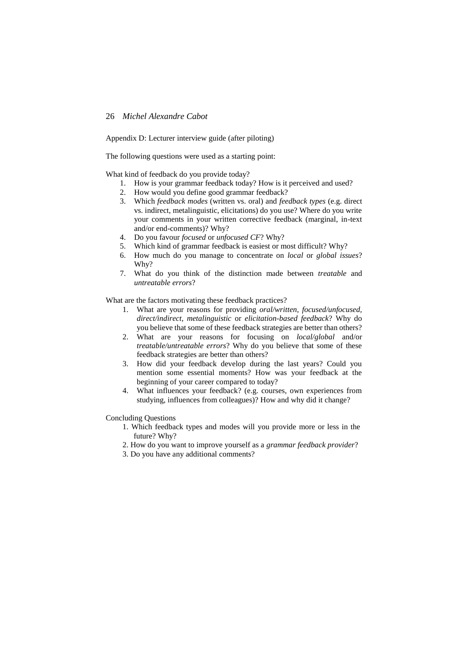Appendix D: Lecturer interview guide (after piloting)

The following questions were used as a starting point:

What kind of feedback do you provide today?

- 1. How is your grammar feedback today? How is it perceived and used?
- 2. How would you define good grammar feedback?
- 3. Which *feedback modes* (written vs. oral) and *feedback types* (e.g. direct vs. indirect, metalinguistic, elicitations) do you use? Where do you write your comments in your written corrective feedback (marginal, in-text and/or end-comments)? Why?
- 4. Do you favour *focused* or *unfocused CF*? Why?
- 5. Which kind of grammar feedback is easiest or most difficult? Why?
- 6. How much do you manage to concentrate on *local* or *global issues*? Why?
- 7. What do you think of the distinction made between *treatable* and *untreatable errors*?

What are the factors motivating these feedback practices?

- 1. What are your reasons for providing *oral/written*, *focused/unfocused, direct/indirect, metalinguistic* or *elicitation-based feedback*? Why do you believe that some of these feedback strategies are better than others?
- 2. What are your reasons for focusing on *local/global* and/or *treatable/untreatable errors*? Why do you believe that some of these feedback strategies are better than others?
- 3. How did your feedback develop during the last years? Could you mention some essential moments? How was your feedback at the beginning of your career compared to today?
- 4. What influences your feedback? (e.g. courses, own experiences from studying, influences from colleagues)? How and why did it change?

Concluding Questions

- 1. Which feedback types and modes will you provide more or less in the future? Why?
- 2. How do you want to improve yourself as a *grammar feedback provider*?
- 3. Do you have any additional comments?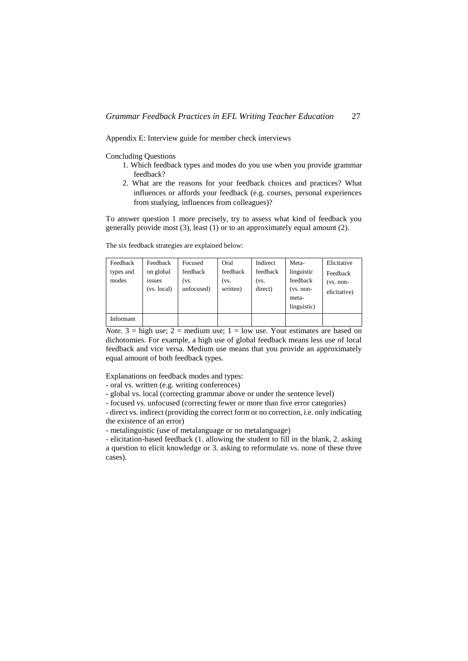Appendix E: Interview guide for member check interviews

Concluding Questions

- 1. Which feedback types and modes do you use when you provide grammar feedback?
- 2. What are the reasons for your feedback choices and practices? What influences or affords your feedback (e.g. courses, personal experiences from studying, influences from colleagues)?

To answer question 1 more precisely, try to assess what kind of feedback you generally provide most (3), least (1) or to an approximately equal amount (2).

The six feedback strategies are explained below:

| Feedback<br>types and<br>modes | Feedback<br>on global<br>issues<br>(vs. local) | Focused<br>feedback<br>(vs.<br>unfocused) | Oral<br>feedback<br>(VS.<br>written) | Indirect<br>feedback<br>(VS.<br>direct) | Meta-<br>linguistic<br>feedback<br>(vs. non-<br>meta-<br>linguistic) | Elicitative<br>Feedback<br>$(vs. non-$<br>elicitative) |
|--------------------------------|------------------------------------------------|-------------------------------------------|--------------------------------------|-----------------------------------------|----------------------------------------------------------------------|--------------------------------------------------------|
| Informant                      |                                                |                                           |                                      |                                         |                                                                      |                                                        |

*Note.* 3 = high use; 2 = medium use; 1 = low use. Your estimates are based on dichotomies. For example, a high use of global feedback means less use of local feedback and vice versa. Medium use means that you provide an approximately equal amount of both feedback types.

Explanations on feedback modes and types:

- oral vs. written (e.g. writing conferences)
- global vs. local (correcting grammar above or under the sentence level)
- focused vs. unfocused (correcting fewer or more than five error categories)

- direct vs. indirect (providing the correct form or no correction, i.e. only indicating the existence of an error)

- metalinguistic (use of metalanguage or no metalanguage)

- elicitation-based feedback (1. allowing the student to fill in the blank, 2. asking a question to elicit knowledge or 3. asking to reformulate vs. none of these three cases).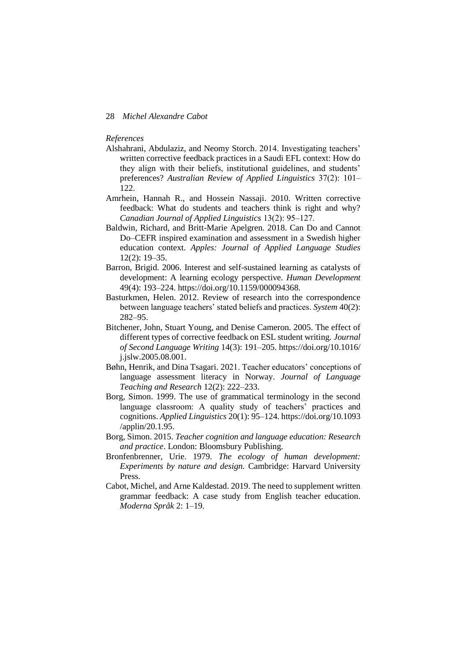### *References*

- Alshahrani, Abdulaziz, and Neomy Storch. 2014. Investigating teachers' written corrective feedback practices in a Saudi EFL context: How do they align with their beliefs, institutional guidelines, and students' preferences? *Australian Review of Applied Linguistics* 37(2): 101– 122.
- Amrhein, Hannah R., and Hossein Nassaji. 2010. Written corrective feedback: What do students and teachers think is right and why? *Canadian Journal of Applied Linguistics* 13(2): 95–127.
- Baldwin, Richard, and Britt-Marie Apelgren. 2018. Can Do and Cannot Do–CEFR inspired examination and assessment in a Swedish higher education context. *Apples: Journal of Applied Language Studies* 12(2): 19‒35.
- Barron, Brigid. 2006. Interest and self-sustained learning as catalysts of development: A learning ecology perspective. *Human Development*  49(4): 193–224. https://doi.org/10.1159/000094368.
- Basturkmen, Helen. 2012. Review of research into the correspondence between language teachers' stated beliefs and practices. *System* 40(2): 282‒95.
- Bitchener, John, Stuart Young, and Denise Cameron. 2005. The effect of different types of corrective feedback on ESL student writing. *Journal of Second Language Writing* 14(3): 191–205. https://doi.org/10.1016/ j.jslw.2005.08.001.
- Bøhn, Henrik, and Dina Tsagari. 2021. Teacher educators' conceptions of language assessment literacy in Norway. *Journal of Language Teaching and Research* 12(2): 222–233.
- Borg, Simon. 1999. The use of grammatical terminology in the second language classroom: A quality study of teachers' practices and cognitions. *Applied Linguistics* 20(1): 95–124. https://doi.org/10.1093 /applin/20.1.95.
- Borg, Simon. 2015. *Teacher cognition and language education: Research and practice*. London: Bloomsbury Publishing.
- Bronfenbrenner, Urie. 1979. *The ecology of human development: Experiments by nature and design.* Cambridge: Harvard University Press.
- Cabot, Michel, and Arne Kaldestad. 2019. The need to supplement written grammar feedback: A case study from English teacher education. *Moderna Språk* 2: 1–19.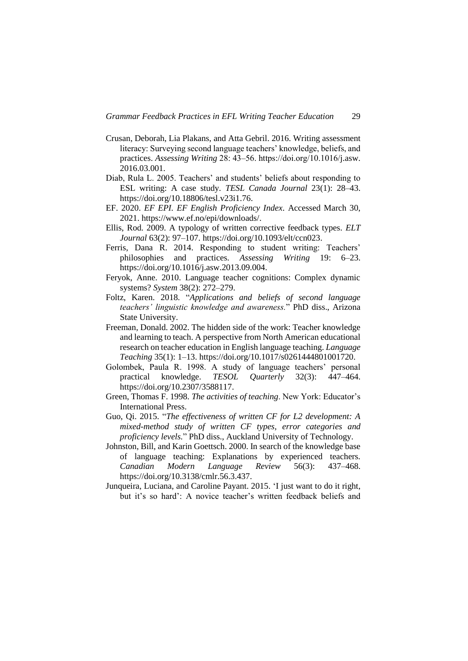- Crusan, Deborah, Lia Plakans, and Atta Gebril. 2016. Writing assessment literacy: Surveying second language teachers' knowledge, beliefs, and practices. *Assessing Writing* 28: 43–56. https://doi.org/10.1016/j.asw. 2016.03.001.
- Diab, Rula L. 2005. Teachers' and students' beliefs about responding to ESL writing: A case study. *TESL Canada Journal* 23(1): 28–43. https://doi.org/10.18806/tesl.v23i1.76.
- EF. 2020. *EF EPI. EF English Proficiency Index*. Accessed March 30, 2021. https://www.ef.no/epi/downloads/.
- Ellis, Rod. 2009. A typology of written corrective feedback types. *ELT Journal* 63(2): 97–107. [https://doi.org/10.1093/elt/ccn023.](https://doi.org/10.1093/elt/ccn023 )
- Ferris, Dana R. 2014. Responding to student writing: Teachers' philosophies and practices. *Assessing Writing* 19: 6–23. https://doi.org/10.1016/j.asw.2013.09.004.
- Feryok, Anne. 2010. Language teacher cognitions: Complex dynamic systems? *System* 38(2): 272–279.
- Foltz, Karen. 2018. "*Applications and beliefs of second language teachers' linguistic knowledge and awareness.*" PhD diss., Arizona State University.
- Freeman, Donald. 2002. The hidden side of the work: Teacher knowledge and learning to teach. A perspective from North American educational research on teacher education in English language teaching. *Language Teaching* 35(1): 1–13. https://doi.org/10.1017/s0261444801001720.
- Golombek, Paula R. 1998. A study of language teachers' personal practical knowledge. *TESOL Quarterly* 32(3): 447–464. [https://doi.org/10.2307/3588117.](https://doi.org/10.2307/3588117)
- Green, Thomas F. 1998. *The activities of teaching*. New York: Educator's International Press.
- Guo, Qi. 2015. "*The effectiveness of written CF for L2 development: A mixed-method study of written CF types, error categories and proficiency levels.*" PhD diss., Auckland University of Technology.
- Johnston, Bill, and Karin Goettsch. 2000. In search of the knowledge base of language teaching: Explanations by experienced teachers. *Canadian Modern Language Review* 56(3): 437–468. [https://doi.org/10.3138/cmlr.56.3.437.](https://doi.org/10.3138/cmlr.56.3.437)
- Junqueira, Luciana, and Caroline Payant. 2015. 'I just want to do it right, but it's so hard': A novice teacher's written feedback beliefs and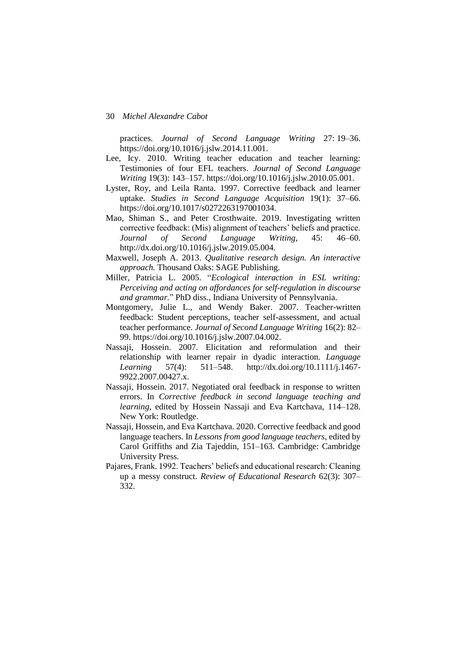practices. *Journal of Second Language Writing* 27: 19–36. https://doi.org/10.1016/j.jslw.2014.11.001.

- Lee, Icy. 2010. Writing teacher education and teacher learning: Testimonies of four EFL teachers. *Journal of Second Language Writing* 19(3): 143‒157. https://doi.org/10.1016/j.jslw.2010.05.001.
- Lyster, Roy, and Leila Ranta. 1997. Corrective feedback and learner uptake. *Studies in Second Language Acquisition* 19(1): 37–66. [https://doi.org/10.1017/s0272263197001034.](https://doi.org/10.1017/s0272263197001034)
- Mao, Shiman S., and Peter Crosthwaite. 2019. Investigating written corrective feedback: (Mis) alignment of teachers' beliefs and practice. *Journal of Second Language Writing*, 45: 46–60. http://dx.doi.org/10.1016/j.jslw.2019.05.004.
- Maxwell, Joseph A. 2013. *Qualitative research design. An interactive approach.* Thousand Oaks: SAGE Publishing.
- Miller, Patricia L. 2005. "*Ecological interaction in ESL writing: Perceiving and acting on affordances for self-regulation in discourse and grammar.*" PhD diss., Indiana University of Pennsylvania.
- Montgomery, Julie L., and Wendy Baker. 2007. Teacher-written feedback: Student perceptions, teacher self-assessment, and actual teacher performance. *Journal of Second Language Writing* 16(2): 82– 99. [https://doi.org/10.1016/j.jslw.2007.04.002.](https://doi.org/10.1016/j.jslw.2007.04.002)
- Nassaji, Hossein. 2007. Elicitation and reformulation and their relationship with learner repair in dyadic interaction. *Language Learning* 57(4): 511‒548. http://dx.doi.org/10.1111/j.1467- 9922.2007.00427.x.
- Nassaji, Hossein. 2017. Negotiated oral feedback in response to written errors. In *Corrective feedback in second language teaching and learning*, edited by Hossein Nassaji and Eva Kartchava, 114–128. New York: Routledge.
- Nassaji, Hossein, and Eva Kartchava. 2020. Corrective feedback and good language teachers. In *Lessons from good language teachers*, edited by Carol Griffiths and Zia Tajeddin, 151-163. Cambridge: Cambridge University Press.
- Pajares, Frank. 1992. Teachers' beliefs and educational research: Cleaning up a messy construct. *Review of Educational Research* 62(3): 307– 332.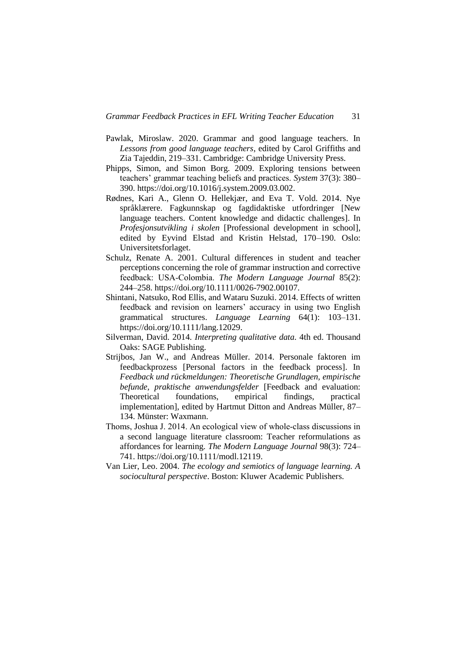- Pawlak, Miroslaw. 2020. Grammar and good language teachers. In *Lessons from good language teachers*, edited by Carol Griffiths and Zia Tajeddin, 219–331. Cambridge: Cambridge University Press.
- Phipps, Simon, and Simon Borg. 2009. Exploring tensions between teachers' grammar teaching beliefs and practices. *System* 37(3): 380– 390. [https://doi.org/10.1016/j.system.2009.03.002.](https://doi.org/10.1016/j.system.2009.03.002)
- Rødnes, Kari A., Glenn O. Hellekjær, and Eva T. Vold. 2014. Nye språklærere. Fagkunnskap og fagdidaktiske utfordringer [New language teachers. Content knowledge and didactic challenges]. In *Profesjonsutvikling i skolen* [Professional development in school], edited by Eyvind Elstad and Kristin Helstad, 170–190. Oslo: Universitetsforlaget.
- Schulz, Renate A. 2001. Cultural differences in student and teacher perceptions concerning the role of grammar instruction and corrective feedback: USA‐Colombia. *The Modern Language Journal* 85(2): 244–258. https://doi.org/10.1111/0026-7902.00107.
- Shintani, Natsuko, Rod Ellis, and Wataru Suzuki. 2014. Effects of written feedback and revision on learners' accuracy in using two English grammatical structures. *Language Learning* 64(1): 103–131. https://doi.org/10.1111/lang.12029.
- Silverman, David. 2014. *Interpreting qualitative data.* 4th ed. Thousand Oaks: SAGE Publishing.
- Strijbos, Jan W., and Andreas Müller. 2014. Personale faktoren im feedbackprozess [Personal factors in the feedback process]. In *Feedback und rückmeldungen: Theoretische Grundlagen, empirische befunde, praktische anwendungsfelder* [Feedback and evaluation: Theoretical foundations, empirical findings, practical implementation], edited by Hartmut Ditton and Andreas Müller, 87– 134. Münster: Waxmann.
- Thoms, Joshua J. 2014. An ecological view of whole‐class discussions in a second language literature classroom: Teacher reformulations as affordances for learning. *The Modern Language Journal* 98(3): 724– 741. [https://doi.org/10.1111/modl.12119.](https://doi.org/10.1111/modl.12119)
- Van Lier, Leo. 2004. *The ecology and semiotics of language learning. A sociocultural perspective*. Boston: Kluwer Academic Publishers.